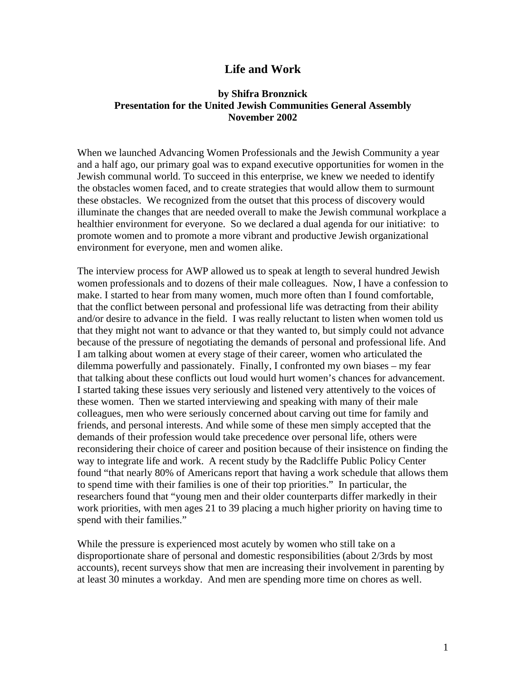## **Life and Work**

## **by Shifra Bronznick Presentation for the United Jewish Communities General Assembly November 2002**

When we launched Advancing Women Professionals and the Jewish Community a year and a half ago, our primary goal was to expand executive opportunities for women in the Jewish communal world. To succeed in this enterprise, we knew we needed to identify the obstacles women faced, and to create strategies that would allow them to surmount these obstacles. We recognized from the outset that this process of discovery would illuminate the changes that are needed overall to make the Jewish communal workplace a healthier environment for everyone. So we declared a dual agenda for our initiative: to promote women and to promote a more vibrant and productive Jewish organizational environment for everyone, men and women alike.

The interview process for AWP allowed us to speak at length to several hundred Jewish women professionals and to dozens of their male colleagues. Now, I have a confession to make. I started to hear from many women, much more often than I found comfortable, that the conflict between personal and professional life was detracting from their ability and/or desire to advance in the field. I was really reluctant to listen when women told us that they might not want to advance or that they wanted to, but simply could not advance because of the pressure of negotiating the demands of personal and professional life. And I am talking about women at every stage of their career, women who articulated the dilemma powerfully and passionately. Finally, I confronted my own biases – my fear that talking about these conflicts out loud would hurt women's chances for advancement. I started taking these issues very seriously and listened very attentively to the voices of these women. Then we started interviewing and speaking with many of their male colleagues, men who were seriously concerned about carving out time for family and friends, and personal interests. And while some of these men simply accepted that the demands of their profession would take precedence over personal life, others were reconsidering their choice of career and position because of their insistence on finding the way to integrate life and work. A recent study by the Radcliffe Public Policy Center found "that nearly 80% of Americans report that having a work schedule that allows them to spend time with their families is one of their top priorities." In particular, the researchers found that "young men and their older counterparts differ markedly in their work priorities, with men ages 21 to 39 placing a much higher priority on having time to spend with their families."

While the pressure is experienced most acutely by women who still take on a disproportionate share of personal and domestic responsibilities (about 2/3rds by most accounts), recent surveys show that men are increasing their involvement in parenting by at least 30 minutes a workday. And men are spending more time on chores as well.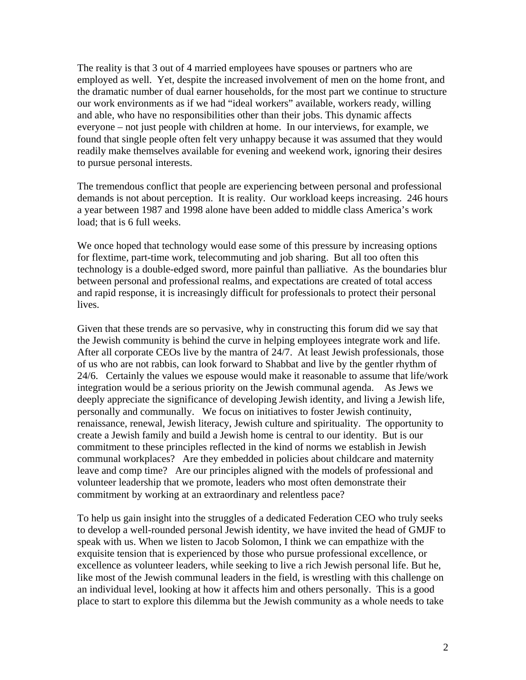The reality is that 3 out of 4 married employees have spouses or partners who are employed as well. Yet, despite the increased involvement of men on the home front, and the dramatic number of dual earner households, for the most part we continue to structure our work environments as if we had "ideal workers" available, workers ready, willing and able, who have no responsibilities other than their jobs. This dynamic affects everyone – not just people with children at home. In our interviews, for example, we found that single people often felt very unhappy because it was assumed that they would readily make themselves available for evening and weekend work, ignoring their desires to pursue personal interests.

The tremendous conflict that people are experiencing between personal and professional demands is not about perception. It is reality. Our workload keeps increasing. 246 hours a year between 1987 and 1998 alone have been added to middle class America's work load; that is 6 full weeks.

We once hoped that technology would ease some of this pressure by increasing options for flextime, part-time work, telecommuting and job sharing. But all too often this technology is a double-edged sword, more painful than palliative. As the boundaries blur between personal and professional realms, and expectations are created of total access and rapid response, it is increasingly difficult for professionals to protect their personal lives.

Given that these trends are so pervasive, why in constructing this forum did we say that the Jewish community is behind the curve in helping employees integrate work and life. After all corporate CEOs live by the mantra of 24/7. At least Jewish professionals, those of us who are not rabbis, can look forward to Shabbat and live by the gentler rhythm of 24/6. Certainly the values we espouse would make it reasonable to assume that life/work integration would be a serious priority on the Jewish communal agenda. As Jews we deeply appreciate the significance of developing Jewish identity, and living a Jewish life, personally and communally. We focus on initiatives to foster Jewish continuity, renaissance, renewal, Jewish literacy, Jewish culture and spirituality. The opportunity to create a Jewish family and build a Jewish home is central to our identity. But is our commitment to these principles reflected in the kind of norms we establish in Jewish communal workplaces? Are they embedded in policies about childcare and maternity leave and comp time? Are our principles aligned with the models of professional and volunteer leadership that we promote, leaders who most often demonstrate their commitment by working at an extraordinary and relentless pace?

To help us gain insight into the struggles of a dedicated Federation CEO who truly seeks to develop a well-rounded personal Jewish identity, we have invited the head of GMJF to speak with us. When we listen to Jacob Solomon, I think we can empathize with the exquisite tension that is experienced by those who pursue professional excellence, or excellence as volunteer leaders, while seeking to live a rich Jewish personal life. But he, like most of the Jewish communal leaders in the field, is wrestling with this challenge on an individual level, looking at how it affects him and others personally. This is a good place to start to explore this dilemma but the Jewish community as a whole needs to take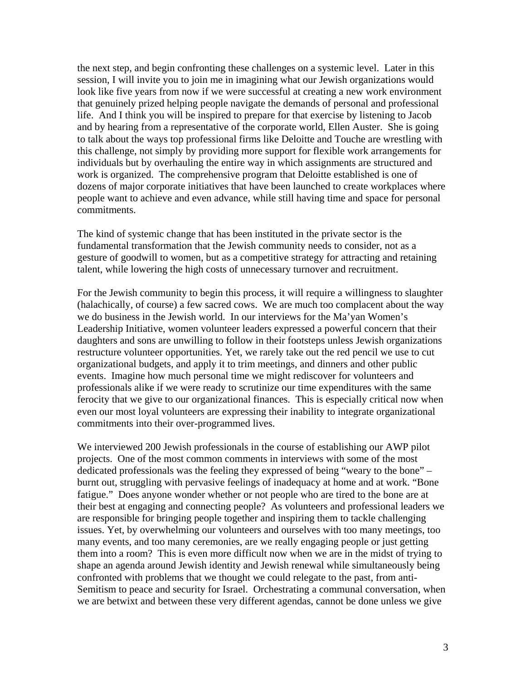the next step, and begin confronting these challenges on a systemic level. Later in this session, I will invite you to join me in imagining what our Jewish organizations would look like five years from now if we were successful at creating a new work environment that genuinely prized helping people navigate the demands of personal and professional life. And I think you will be inspired to prepare for that exercise by listening to Jacob and by hearing from a representative of the corporate world, Ellen Auster. She is going to talk about the ways top professional firms like Deloitte and Touche are wrestling with this challenge, not simply by providing more support for flexible work arrangements for individuals but by overhauling the entire way in which assignments are structured and work is organized. The comprehensive program that Deloitte established is one of dozens of major corporate initiatives that have been launched to create workplaces where people want to achieve and even advance, while still having time and space for personal commitments.

The kind of systemic change that has been instituted in the private sector is the fundamental transformation that the Jewish community needs to consider, not as a gesture of goodwill to women, but as a competitive strategy for attracting and retaining talent, while lowering the high costs of unnecessary turnover and recruitment.

For the Jewish community to begin this process, it will require a willingness to slaughter (halachically, of course) a few sacred cows. We are much too complacent about the way we do business in the Jewish world. In our interviews for the Ma'yan Women's Leadership Initiative, women volunteer leaders expressed a powerful concern that their daughters and sons are unwilling to follow in their footsteps unless Jewish organizations restructure volunteer opportunities. Yet, we rarely take out the red pencil we use to cut organizational budgets, and apply it to trim meetings, and dinners and other public events. Imagine how much personal time we might rediscover for volunteers and professionals alike if we were ready to scrutinize our time expenditures with the same ferocity that we give to our organizational finances. This is especially critical now when even our most loyal volunteers are expressing their inability to integrate organizational commitments into their over-programmed lives.

We interviewed 200 Jewish professionals in the course of establishing our AWP pilot projects. One of the most common comments in interviews with some of the most dedicated professionals was the feeling they expressed of being "weary to the bone" – burnt out, struggling with pervasive feelings of inadequacy at home and at work. "Bone fatigue." Does anyone wonder whether or not people who are tired to the bone are at their best at engaging and connecting people? As volunteers and professional leaders we are responsible for bringing people together and inspiring them to tackle challenging issues. Yet, by overwhelming our volunteers and ourselves with too many meetings, too many events, and too many ceremonies, are we really engaging people or just getting them into a room? This is even more difficult now when we are in the midst of trying to shape an agenda around Jewish identity and Jewish renewal while simultaneously being confronted with problems that we thought we could relegate to the past, from anti-Semitism to peace and security for Israel. Orchestrating a communal conversation, when we are betwixt and between these very different agendas, cannot be done unless we give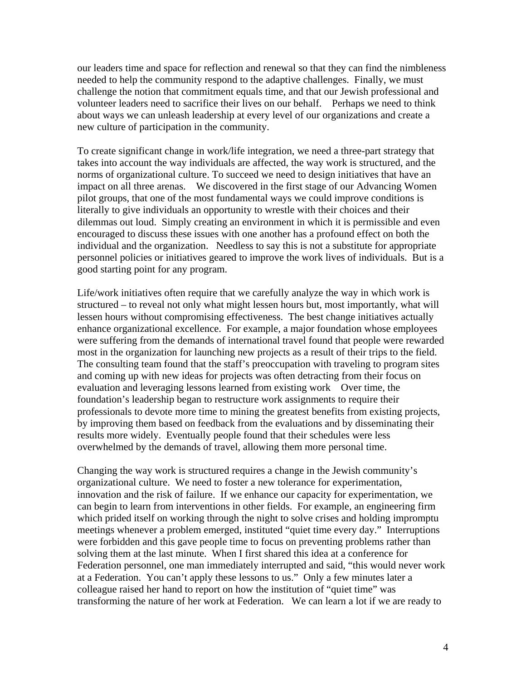our leaders time and space for reflection and renewal so that they can find the nimbleness needed to help the community respond to the adaptive challenges. Finally, we must challenge the notion that commitment equals time, and that our Jewish professional and volunteer leaders need to sacrifice their lives on our behalf. Perhaps we need to think about ways we can unleash leadership at every level of our organizations and create a new culture of participation in the community.

To create significant change in work/life integration, we need a three-part strategy that takes into account the way individuals are affected, the way work is structured, and the norms of organizational culture. To succeed we need to design initiatives that have an impact on all three arenas. We discovered in the first stage of our Advancing Women pilot groups, that one of the most fundamental ways we could improve conditions is literally to give individuals an opportunity to wrestle with their choices and their dilemmas out loud. Simply creating an environment in which it is permissible and even encouraged to discuss these issues with one another has a profound effect on both the individual and the organization. Needless to say this is not a substitute for appropriate personnel policies or initiatives geared to improve the work lives of individuals. But is a good starting point for any program.

Life/work initiatives often require that we carefully analyze the way in which work is structured – to reveal not only what might lessen hours but, most importantly, what will lessen hours without compromising effectiveness. The best change initiatives actually enhance organizational excellence. For example, a major foundation whose employees were suffering from the demands of international travel found that people were rewarded most in the organization for launching new projects as a result of their trips to the field. The consulting team found that the staff's preoccupation with traveling to program sites and coming up with new ideas for projects was often detracting from their focus on evaluation and leveraging lessons learned from existing work Over time, the foundation's leadership began to restructure work assignments to require their professionals to devote more time to mining the greatest benefits from existing projects, by improving them based on feedback from the evaluations and by disseminating their results more widely. Eventually people found that their schedules were less overwhelmed by the demands of travel, allowing them more personal time.

Changing the way work is structured requires a change in the Jewish community's organizational culture. We need to foster a new tolerance for experimentation, innovation and the risk of failure. If we enhance our capacity for experimentation, we can begin to learn from interventions in other fields. For example, an engineering firm which prided itself on working through the night to solve crises and holding impromptu meetings whenever a problem emerged, instituted "quiet time every day." Interruptions were forbidden and this gave people time to focus on preventing problems rather than solving them at the last minute. When I first shared this idea at a conference for Federation personnel, one man immediately interrupted and said, "this would never work at a Federation. You can't apply these lessons to us." Only a few minutes later a colleague raised her hand to report on how the institution of "quiet time" was transforming the nature of her work at Federation. We can learn a lot if we are ready to